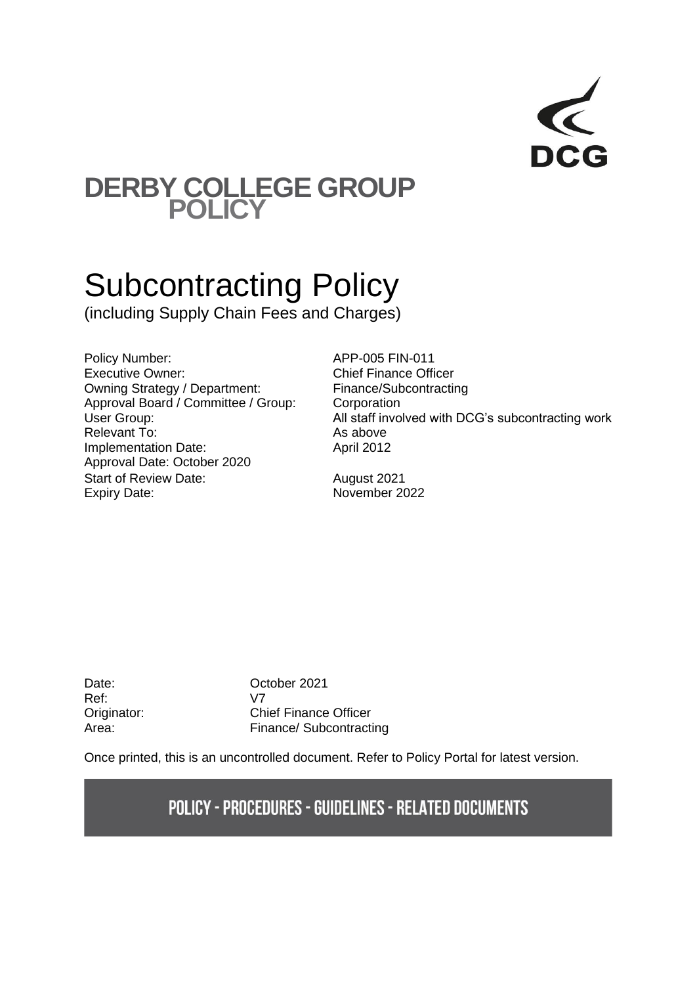

## **DERBY COLLEGE GROUP POLICY**

# Subcontracting Policy

(including Supply Chain Fees and Charges)

Policy Number: APP-005 FIN-011 Executive Owner: Chief Finance Officer Owning Strategy / Department: Finance/Subcontracting Approval Board / Committee / Group: Corporation Relevant To: As above Implementation Date: April 2012 Approval Date: October 2020 Start of Review Date: August 2021 Expiry Date: November 2022

User Group: Case of the Contraction of the Museum All staff involved with DCG's subcontracting work

Ref: V7

Date: **October 2021** Originator: Chief Finance Officer Area: Finance/ Subcontracting

Once printed, this is an uncontrolled document. Refer to Policy Portal for latest version.

## **POLICY - PROCEDURES - GUIDELINES - RELATED DOCUMENTS**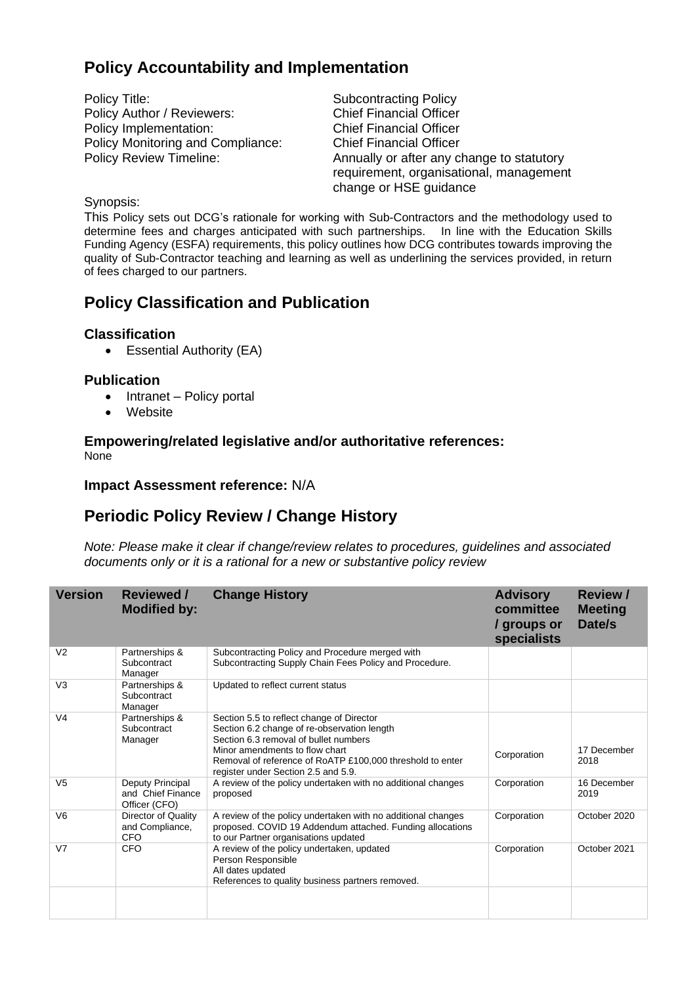## **Policy Accountability and Implementation**

Policy Title: Subcontracting Policy Policy Author / Reviewers: Chief Financial Officer Policy Implementation: Chief Financial Officer Policy Monitoring and Compliance: Chief Financial Officer

Policy Review Timeline: Annually or after any change to statutory requirement, organisational, management change or HSE guidance

#### Synopsis:

This Policy sets out DCG's rationale for working with Sub-Contractors and the methodology used to determine fees and charges anticipated with such partnerships. In line with the Education Skills Funding Agency (ESFA) requirements, this policy outlines how DCG contributes towards improving the quality of Sub-Contractor teaching and learning as well as underlining the services provided, in return of fees charged to our partners.

## **Policy Classification and Publication**

## **Classification**

• Essential Authority (EA)

## **Publication**

- Intranet Policy portal
- Website

#### **Empowering/related legislative and/or authoritative references:** None

## **Impact Assessment reference:** N/A

## **Periodic Policy Review / Change History**

*Note: Please make it clear if change/review relates to procedures, guidelines and associated documents only or it is a rational for a new or substantive policy review*

| <b>Version</b> | <b>Reviewed /</b><br><b>Modified by:</b>               | <b>Change History</b>                                                                                                                                                                                                                                                   | <b>Advisory</b><br>committee<br>/ groups or<br>specialists | <b>Review /</b><br><b>Meeting</b><br>Date/s |
|----------------|--------------------------------------------------------|-------------------------------------------------------------------------------------------------------------------------------------------------------------------------------------------------------------------------------------------------------------------------|------------------------------------------------------------|---------------------------------------------|
| V <sub>2</sub> | Partnerships &<br>Subcontract<br>Manager               | Subcontracting Policy and Procedure merged with<br>Subcontracting Supply Chain Fees Policy and Procedure.                                                                                                                                                               |                                                            |                                             |
| V <sub>3</sub> | Partnerships &<br>Subcontract<br>Manager               | Updated to reflect current status                                                                                                                                                                                                                                       |                                                            |                                             |
| V <sub>4</sub> | Partnerships &<br>Subcontract<br>Manager               | Section 5.5 to reflect change of Director<br>Section 6.2 change of re-observation length<br>Section 6.3 removal of bullet numbers<br>Minor amendments to flow chart<br>Removal of reference of RoATP £100,000 threshold to enter<br>register under Section 2.5 and 5.9. | Corporation                                                | 17 December<br>2018                         |
| V <sub>5</sub> | Deputy Principal<br>and Chief Finance<br>Officer (CFO) | A review of the policy undertaken with no additional changes<br>proposed                                                                                                                                                                                                | Corporation                                                | 16 December<br>2019                         |
| V <sub>6</sub> | Director of Quality<br>and Compliance,<br><b>CFO</b>   | A review of the policy undertaken with no additional changes<br>proposed. COVID 19 Addendum attached. Funding allocations<br>to our Partner organisations updated                                                                                                       | Corporation                                                | October 2020                                |
| V <sub>7</sub> | <b>CFO</b>                                             | A review of the policy undertaken, updated<br>Person Responsible<br>All dates updated<br>References to quality business partners removed.                                                                                                                               | Corporation                                                | October 2021                                |
|                |                                                        |                                                                                                                                                                                                                                                                         |                                                            |                                             |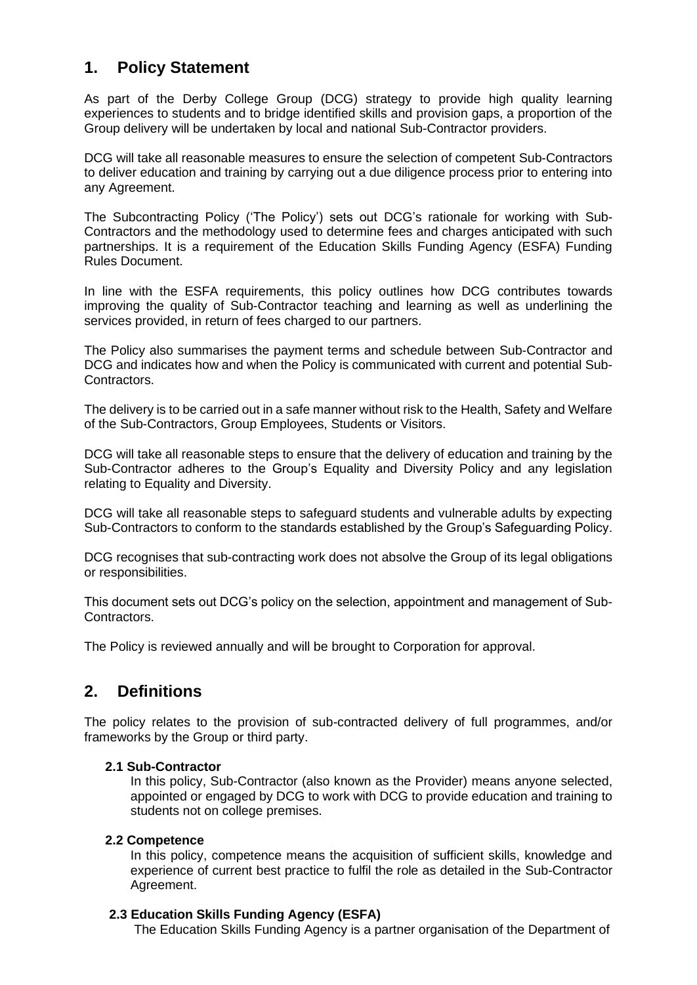## **1. Policy Statement**

As part of the Derby College Group (DCG) strategy to provide high quality learning experiences to students and to bridge identified skills and provision gaps, a proportion of the Group delivery will be undertaken by local and national Sub-Contractor providers.

DCG will take all reasonable measures to ensure the selection of competent Sub-Contractors to deliver education and training by carrying out a due diligence process prior to entering into any Agreement.

The Subcontracting Policy ('The Policy') sets out DCG's rationale for working with Sub-Contractors and the methodology used to determine fees and charges anticipated with such partnerships. It is a requirement of the Education Skills Funding Agency (ESFA) Funding Rules Document.

In line with the ESFA requirements, this policy outlines how DCG contributes towards improving the quality of Sub-Contractor teaching and learning as well as underlining the services provided, in return of fees charged to our partners.

The Policy also summarises the payment terms and schedule between Sub-Contractor and DCG and indicates how and when the Policy is communicated with current and potential Sub-Contractors.

The delivery is to be carried out in a safe manner without risk to the Health, Safety and Welfare of the Sub-Contractors, Group Employees, Students or Visitors.

DCG will take all reasonable steps to ensure that the delivery of education and training by the Sub-Contractor adheres to the Group's Equality and Diversity Policy and any legislation relating to Equality and Diversity.

DCG will take all reasonable steps to safeguard students and vulnerable adults by expecting Sub-Contractors to conform to the standards established by the Group's Safeguarding Policy.

DCG recognises that sub-contracting work does not absolve the Group of its legal obligations or responsibilities.

This document sets out DCG's policy on the selection, appointment and management of Sub-Contractors.

The Policy is reviewed annually and will be brought to Corporation for approval.

## **2. Definitions**

The policy relates to the provision of sub-contracted delivery of full programmes, and/or frameworks by the Group or third party.

## **2.1 Sub-Contractor**

In this policy, Sub-Contractor (also known as the Provider) means anyone selected, appointed or engaged by DCG to work with DCG to provide education and training to students not on college premises.

#### **2.2 Competence**

In this policy, competence means the acquisition of sufficient skills, knowledge and experience of current best practice to fulfil the role as detailed in the Sub-Contractor Agreement.

#### **2.3 Education Skills Funding Agency (ESFA)**

The Education Skills Funding Agency is a partner organisation of the Department of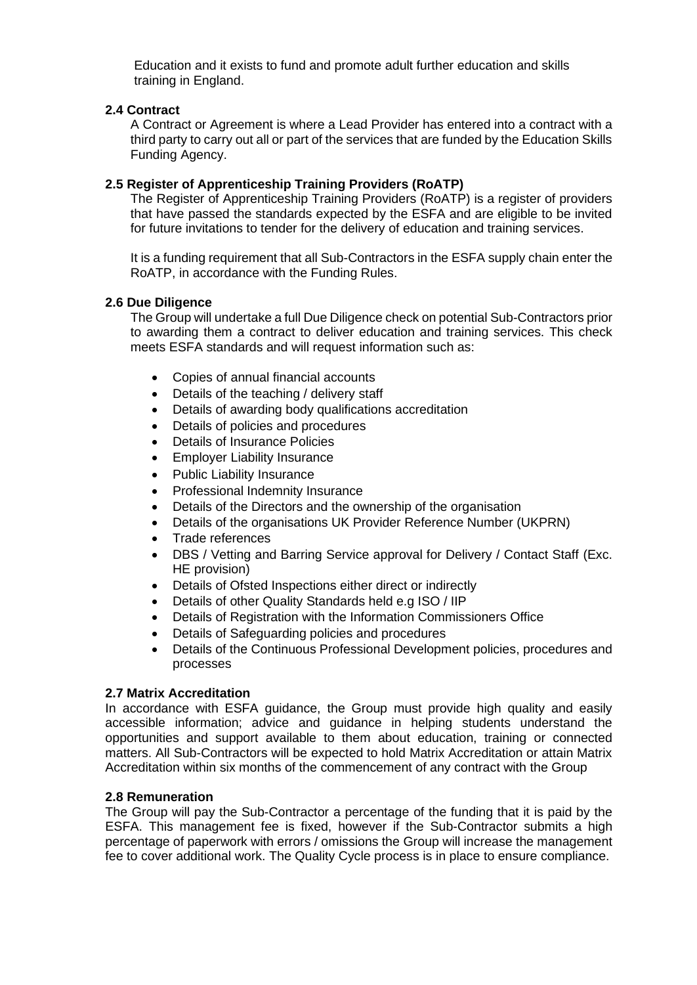Education and it exists to fund and promote adult further education and skills training in England.

#### **2.4 Contract**

A Contract or Agreement is where a Lead Provider has entered into a contract with a third party to carry out all or part of the services that are funded by the Education Skills Funding Agency.

#### **2.5 Register of Apprenticeship Training Providers (RoATP)**

The Register of Apprenticeship Training Providers (RoATP) is a register of providers that have passed the standards expected by the ESFA and are eligible to be invited for future invitations to tender for the delivery of education and training services.

It is a funding requirement that all Sub-Contractors in the ESFA supply chain enter the RoATP, in accordance with the Funding Rules.

#### **2.6 Due Diligence**

The Group will undertake a full Due Diligence check on potential Sub-Contractors prior to awarding them a contract to deliver education and training services. This check meets ESFA standards and will request information such as:

- Copies of annual financial accounts
- Details of the teaching / delivery staff
- Details of awarding body qualifications accreditation
- Details of policies and procedures
- Details of Insurance Policies
- Employer Liability Insurance
- Public Liability Insurance
- Professional Indemnity Insurance
- Details of the Directors and the ownership of the organisation
- Details of the organisations UK Provider Reference Number (UKPRN)
- Trade references
- DBS / Vetting and Barring Service approval for Delivery / Contact Staff (Exc. HE provision)
- Details of Ofsted Inspections either direct or indirectly
- Details of other Quality Standards held e.g ISO / IIP
- Details of Registration with the Information Commissioners Office
- Details of Safeguarding policies and procedures
- Details of the Continuous Professional Development policies, procedures and processes

#### **2.7 Matrix Accreditation**

In accordance with ESFA guidance, the Group must provide high quality and easily accessible information; advice and guidance in helping students understand the opportunities and support available to them about education, training or connected matters. All Sub-Contractors will be expected to hold Matrix Accreditation or attain Matrix Accreditation within six months of the commencement of any contract with the Group

#### **2.8 Remuneration**

The Group will pay the Sub-Contractor a percentage of the funding that it is paid by the ESFA. This management fee is fixed, however if the Sub-Contractor submits a high percentage of paperwork with errors / omissions the Group will increase the management fee to cover additional work. The Quality Cycle process is in place to ensure compliance.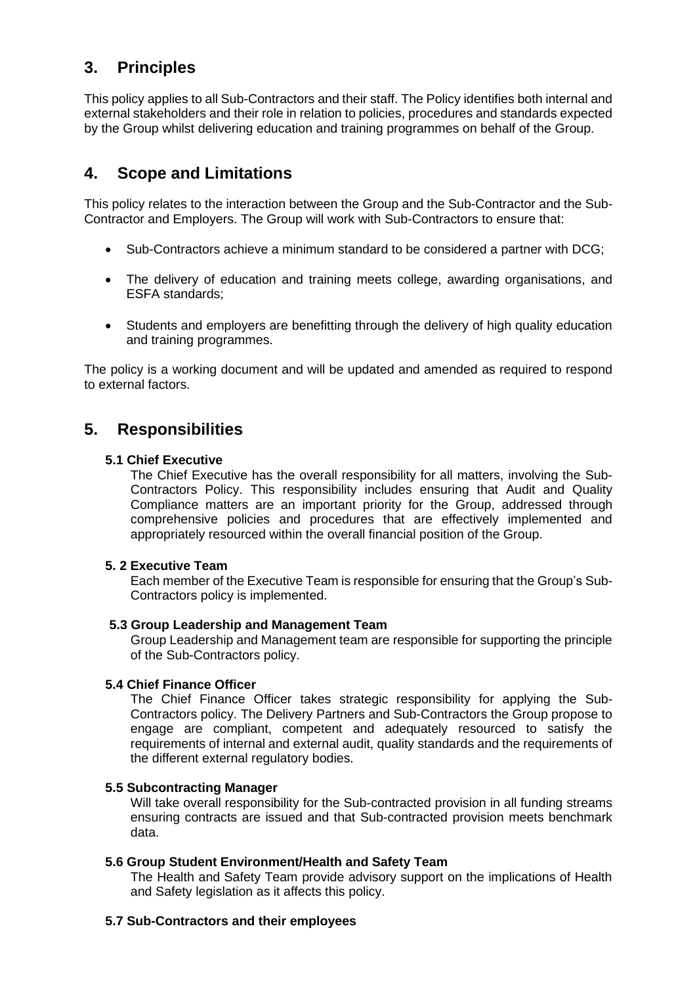## **3. Principles**

This policy applies to all Sub-Contractors and their staff. The Policy identifies both internal and external stakeholders and their role in relation to policies, procedures and standards expected by the Group whilst delivering education and training programmes on behalf of the Group.

## **4. Scope and Limitations**

This policy relates to the interaction between the Group and the Sub-Contractor and the Sub-Contractor and Employers. The Group will work with Sub-Contractors to ensure that:

- Sub-Contractors achieve a minimum standard to be considered a partner with DCG;
- The delivery of education and training meets college, awarding organisations, and ESFA standards;
- Students and employers are benefitting through the delivery of high quality education and training programmes.

The policy is a working document and will be updated and amended as required to respond to external factors.

## **5. Responsibilities**

#### **5.1 Chief Executive**

The Chief Executive has the overall responsibility for all matters, involving the Sub-Contractors Policy. This responsibility includes ensuring that Audit and Quality Compliance matters are an important priority for the Group, addressed through comprehensive policies and procedures that are effectively implemented and appropriately resourced within the overall financial position of the Group.

## **5. 2 Executive Team**

Each member of the Executive Team is responsible for ensuring that the Group's Sub-Contractors policy is implemented.

## **5.3 Group Leadership and Management Team**

Group Leadership and Management team are responsible for supporting the principle of the Sub-Contractors policy.

## **5.4 Chief Finance Officer**

The Chief Finance Officer takes strategic responsibility for applying the Sub-Contractors policy. The Delivery Partners and Sub-Contractors the Group propose to engage are compliant, competent and adequately resourced to satisfy the requirements of internal and external audit, quality standards and the requirements of the different external regulatory bodies.

#### **5.5 Subcontracting Manager**

Will take overall responsibility for the Sub-contracted provision in all funding streams ensuring contracts are issued and that Sub-contracted provision meets benchmark data.

## **5.6 Group Student Environment/Health and Safety Team**

The Health and Safety Team provide advisory support on the implications of Health and Safety legislation as it affects this policy.

#### **5.7 Sub-Contractors and their employees**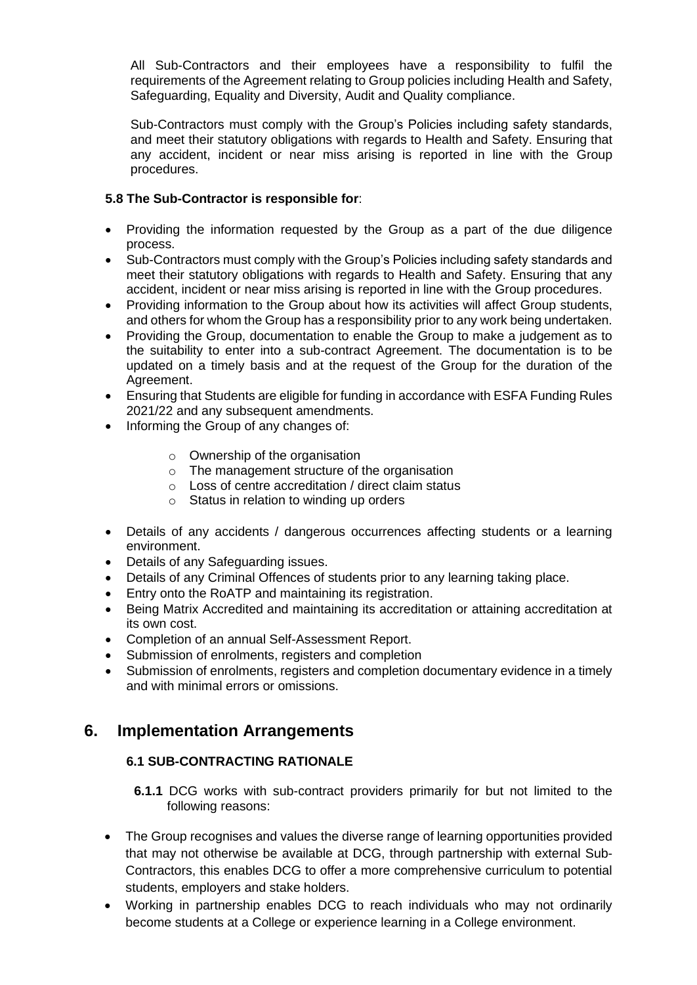All Sub-Contractors and their employees have a responsibility to fulfil the requirements of the Agreement relating to Group policies including Health and Safety, Safeguarding, Equality and Diversity, Audit and Quality compliance.

Sub-Contractors must comply with the Group's Policies including safety standards, and meet their statutory obligations with regards to Health and Safety. Ensuring that any accident, incident or near miss arising is reported in line with the Group procedures.

## **5.8 The Sub-Contractor is responsible for**:

- Providing the information requested by the Group as a part of the due diligence process.
- Sub-Contractors must comply with the Group's Policies including safety standards and meet their statutory obligations with regards to Health and Safety. Ensuring that any accident, incident or near miss arising is reported in line with the Group procedures.
- Providing information to the Group about how its activities will affect Group students, and others for whom the Group has a responsibility prior to any work being undertaken.
- Providing the Group, documentation to enable the Group to make a judgement as to the suitability to enter into a sub-contract Agreement. The documentation is to be updated on a timely basis and at the request of the Group for the duration of the Agreement.
- Ensuring that Students are eligible for funding in accordance with ESFA Funding Rules 2021/22 and any subsequent amendments.
- Informing the Group of any changes of:
	- o Ownership of the organisation
	- o The management structure of the organisation
	- o Loss of centre accreditation / direct claim status
	- o Status in relation to winding up orders
- Details of any accidents / dangerous occurrences affecting students or a learning environment.
- Details of any Safeguarding issues.
- Details of any Criminal Offences of students prior to any learning taking place.
- Entry onto the RoATP and maintaining its registration.
- Being Matrix Accredited and maintaining its accreditation or attaining accreditation at its own cost.
- Completion of an annual Self-Assessment Report.
- Submission of enrolments, registers and completion
- Submission of enrolments, registers and completion documentary evidence in a timely and with minimal errors or omissions.

## **6. Implementation Arrangements**

## **6.1 SUB-CONTRACTING RATIONALE**

- **6.1.1** DCG works with sub-contract providers primarily for but not limited to the following reasons:
- The Group recognises and values the diverse range of learning opportunities provided that may not otherwise be available at DCG, through partnership with external Sub-Contractors, this enables DCG to offer a more comprehensive curriculum to potential students, employers and stake holders.
- Working in partnership enables DCG to reach individuals who may not ordinarily become students at a College or experience learning in a College environment.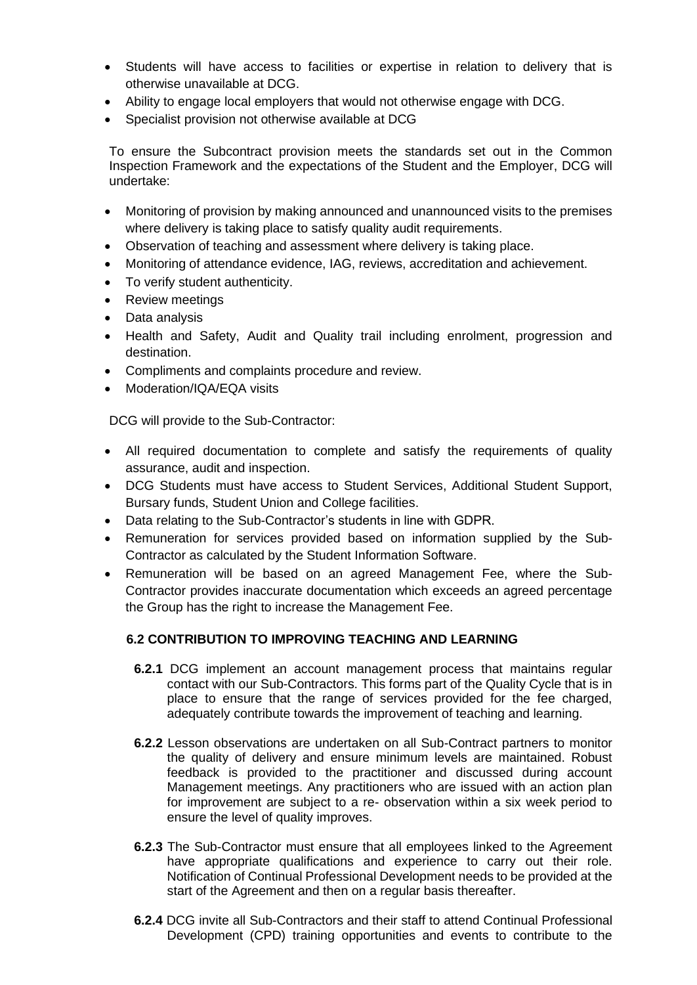- Students will have access to facilities or expertise in relation to delivery that is otherwise unavailable at DCG.
- Ability to engage local employers that would not otherwise engage with DCG.
- Specialist provision not otherwise available at DCG

To ensure the Subcontract provision meets the standards set out in the Common Inspection Framework and the expectations of the Student and the Employer, DCG will undertake:

- Monitoring of provision by making announced and unannounced visits to the premises where delivery is taking place to satisfy quality audit requirements.
- Observation of teaching and assessment where delivery is taking place.
- Monitoring of attendance evidence, IAG, reviews, accreditation and achievement.
- To verify student authenticity.
- Review meetings
- Data analysis
- Health and Safety, Audit and Quality trail including enrolment, progression and destination.
- Compliments and complaints procedure and review.
- Moderation/IQA/EQA visits

DCG will provide to the Sub-Contractor:

- All required documentation to complete and satisfy the requirements of quality assurance, audit and inspection.
- DCG Students must have access to Student Services, Additional Student Support, Bursary funds, Student Union and College facilities.
- Data relating to the Sub-Contractor's students in line with GDPR.
- Remuneration for services provided based on information supplied by the Sub-Contractor as calculated by the Student Information Software.
- Remuneration will be based on an agreed Management Fee, where the Sub-Contractor provides inaccurate documentation which exceeds an agreed percentage the Group has the right to increase the Management Fee.

## **6.2 CONTRIBUTION TO IMPROVING TEACHING AND LEARNING**

- **6.2.1** DCG implement an account management process that maintains regular contact with our Sub-Contractors. This forms part of the Quality Cycle that is in place to ensure that the range of services provided for the fee charged, adequately contribute towards the improvement of teaching and learning.
- **6.2.2** Lesson observations are undertaken on all Sub-Contract partners to monitor the quality of delivery and ensure minimum levels are maintained. Robust feedback is provided to the practitioner and discussed during account Management meetings. Any practitioners who are issued with an action plan for improvement are subject to a re- observation within a six week period to ensure the level of quality improves.
- **6.2.3** The Sub-Contractor must ensure that all employees linked to the Agreement have appropriate qualifications and experience to carry out their role. Notification of Continual Professional Development needs to be provided at the start of the Agreement and then on a regular basis thereafter.
- **6.2.4** DCG invite all Sub-Contractors and their staff to attend Continual Professional Development (CPD) training opportunities and events to contribute to the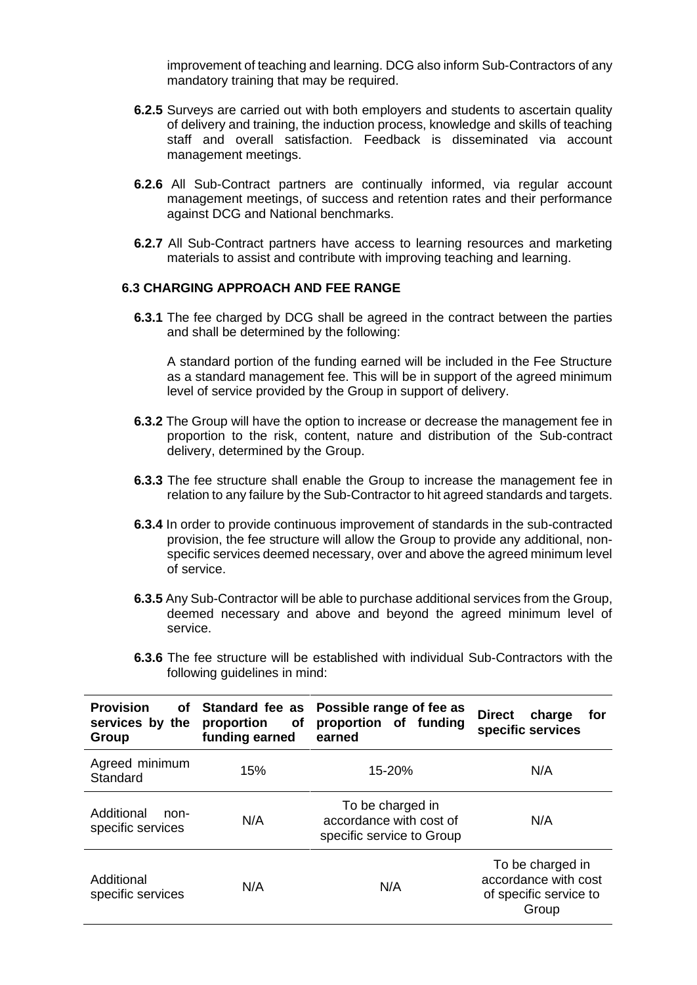improvement of teaching and learning. DCG also inform Sub-Contractors of any mandatory training that may be required.

- **6.2.5** Surveys are carried out with both employers and students to ascertain quality of delivery and training, the induction process, knowledge and skills of teaching staff and overall satisfaction. Feedback is disseminated via account management meetings.
- **6.2.6** All Sub-Contract partners are continually informed, via regular account management meetings, of success and retention rates and their performance against DCG and National benchmarks.
- **6.2.7** All Sub-Contract partners have access to learning resources and marketing materials to assist and contribute with improving teaching and learning.

## **6.3 CHARGING APPROACH AND FEE RANGE**

**6.3.1** The fee charged by DCG shall be agreed in the contract between the parties and shall be determined by the following:

A standard portion of the funding earned will be included in the Fee Structure as a standard management fee. This will be in support of the agreed minimum level of service provided by the Group in support of delivery.

- **6.3.2** The Group will have the option to increase or decrease the management fee in proportion to the risk, content, nature and distribution of the Sub-contract delivery, determined by the Group.
- **6.3.3** The fee structure shall enable the Group to increase the management fee in relation to any failure by the Sub-Contractor to hit agreed standards and targets.
- **6.3.4** In order to provide continuous improvement of standards in the sub-contracted provision, the fee structure will allow the Group to provide any additional, nonspecific services deemed necessary, over and above the agreed minimum level of service.
- **6.3.5** Any Sub-Contractor will be able to purchase additional services from the Group, deemed necessary and above and beyond the agreed minimum level of service.
- **6.3.6** The fee structure will be established with individual Sub-Contractors with the following guidelines in mind:

| <b>Provision</b><br>of<br>services by the<br>Group | Standard fee as<br>proportion<br>οf<br>funding earned | Possible range of fee as<br>proportion of funding<br>earned              | <b>Direct</b><br>charge<br>for<br>specific services                         |
|----------------------------------------------------|-------------------------------------------------------|--------------------------------------------------------------------------|-----------------------------------------------------------------------------|
| Agreed minimum<br>Standard                         | 15%                                                   | 15-20%                                                                   | N/A                                                                         |
| Additional<br>non-<br>specific services            | N/A                                                   | To be charged in<br>accordance with cost of<br>specific service to Group | N/A                                                                         |
| Additional<br>specific services                    | N/A                                                   | N/A                                                                      | To be charged in<br>accordance with cost<br>of specific service to<br>Group |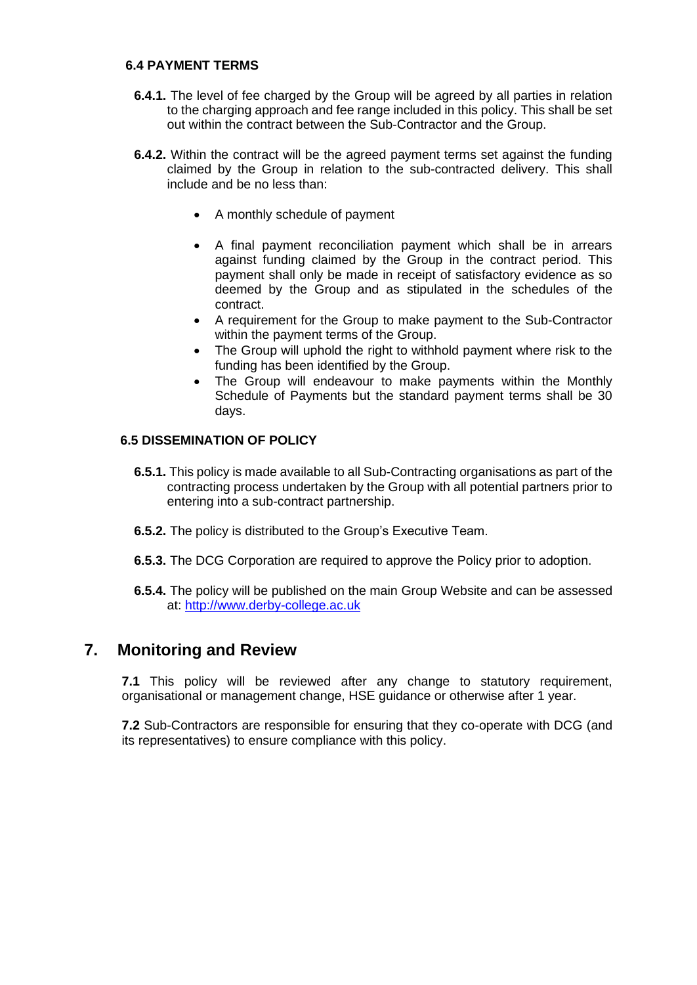## **6.4 PAYMENT TERMS**

- **6.4.1.** The level of fee charged by the Group will be agreed by all parties in relation to the charging approach and fee range included in this policy. This shall be set out within the contract between the Sub-Contractor and the Group.
- **6.4.2.** Within the contract will be the agreed payment terms set against the funding claimed by the Group in relation to the sub-contracted delivery. This shall include and be no less than:
	- A monthly schedule of payment
	- A final payment reconciliation payment which shall be in arrears against funding claimed by the Group in the contract period. This payment shall only be made in receipt of satisfactory evidence as so deemed by the Group and as stipulated in the schedules of the contract.
	- A requirement for the Group to make payment to the Sub-Contractor within the payment terms of the Group.
	- The Group will uphold the right to withhold payment where risk to the funding has been identified by the Group.
	- The Group will endeavour to make payments within the Monthly Schedule of Payments but the standard payment terms shall be 30 days.

## **6.5 DISSEMINATION OF POLICY**

- **6.5.1.** This policy is made available to all Sub-Contracting organisations as part of the contracting process undertaken by the Group with all potential partners prior to entering into a sub-contract partnership.
- **6.5.2.** The policy is distributed to the Group's Executive Team.
- **6.5.3.** The DCG Corporation are required to approve the Policy prior to adoption.
- **6.5.4.** The policy will be published on the main Group Website and can be assessed at: [http://www.derby-college.ac.uk](http://www.derby-college.ac.uk/)

## **7. Monitoring and Review**

**7.1** This policy will be reviewed after any change to statutory requirement, organisational or management change, HSE guidance or otherwise after 1 year.

**7.2** Sub-Contractors are responsible for ensuring that they co-operate with DCG (and its representatives) to ensure compliance with this policy.